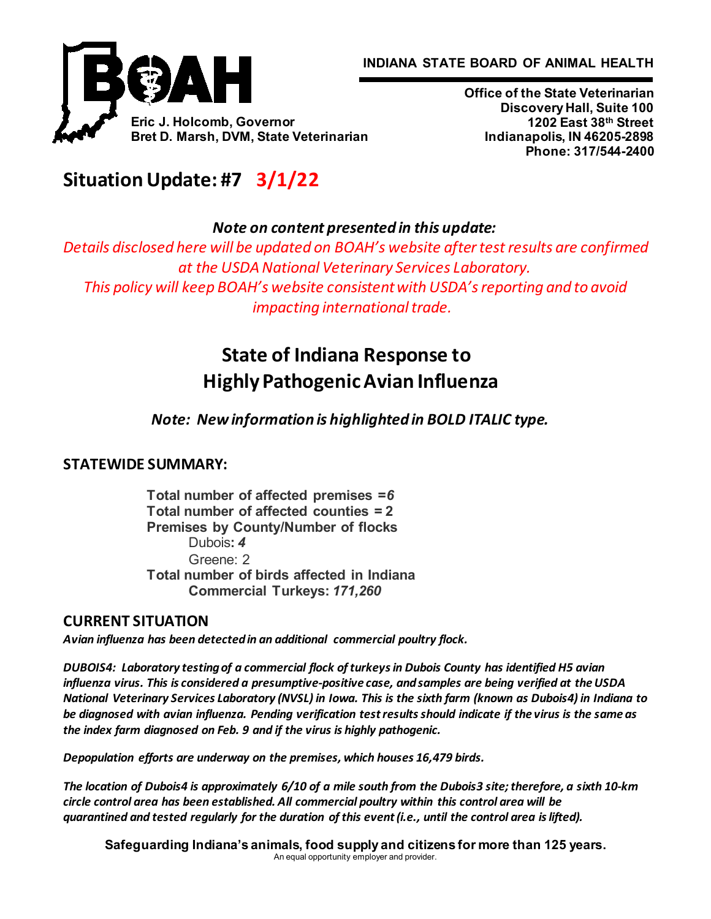**INDIANA STATE BOARD OF ANIMAL HEALTH**



**Office of the State Veterinarian Discovery Hall, Suite 100 1202 East 38th Street Indianapolis, IN 46205-2898 Phone: 317/544-2400**

# **Situation Update: #7   3/1/22**

*Note on content presented in this update:*

*Details disclosed here will be updated on BOAH's website after test results are confirmed at the USDA National Veterinary Services Laboratory. This policy will keep BOAH's website consistent with USDA's reporting and to avoid impacting international trade.*

# **State of Indiana Response to Highly Pathogenic Avian Influenza**

*Note: New information is highlighted in BOLD ITALIC type.*

# **STATEWIDE SUMMARY:**

**Total number of affected premises =***6* **Total number of affected counties = 2 Premises by County/Number of flocks** Dubois**:** *4* Greene: 2 **Total number of birds affected in Indiana Commercial Turkeys:** *171,260*

# **CURRENT SITUATION**

*Avian influenza has been detected in an additional commercial poultry flock.*

*DUBOIS4:  Laboratory testing of a commercial flock of turkeys in Dubois County has identified H5 avian influenza virus. This is considered a presumptive-positive case, and samples are being verified at the USDA National Veterinary Services Laboratory (NVSL) in Iowa. This is the sixth farm (known as Dubois4) in Indiana to be diagnosed with avian influenza. Pending verification test results should indicate if the virus is the same as the index farm diagnosed on Feb. 9 and if the virus is highly pathogenic.*

*Depopulation efforts are underway on the premises, which houses 16,479 birds.*

*The location of Dubois4 is approximately 6/10 of a mile south from the Dubois3 site; therefore, a sixth 10-km circle control area has been established. All commercial poultry within this control area will be quarantined and tested regularly for the duration of this event (i.e., until the control area is lifted).*

**Safeguarding Indiana's animals, food supply and citizens for more than 125 years.** An equal opportunity employer and provider.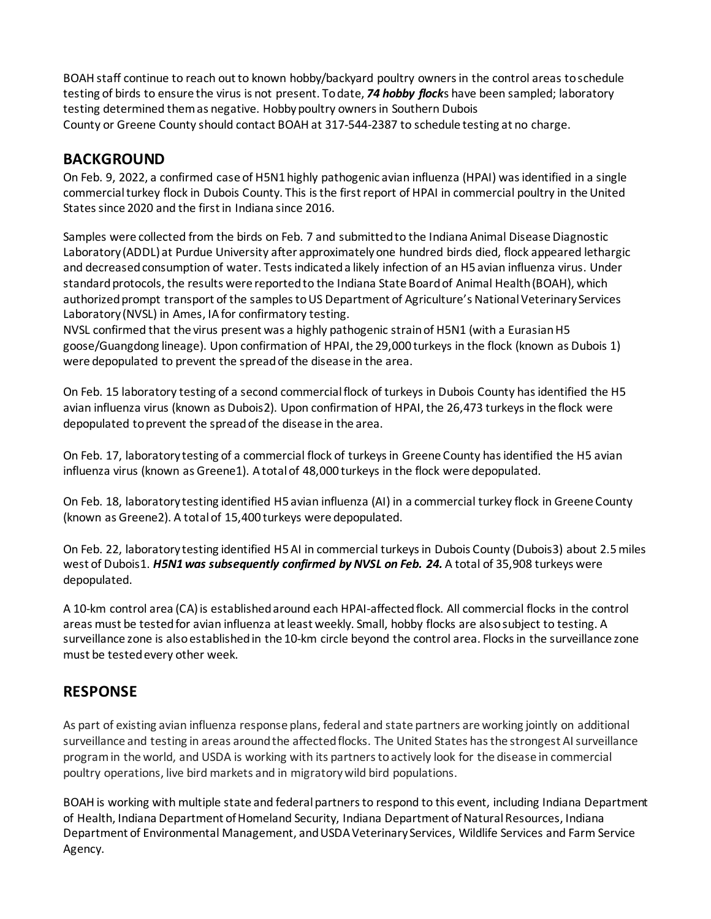BOAH staff continue to reach out to known hobby/backyard poultry owners in the control areas to schedule testing of birds to ensure the virus is not present. To date, *74 hobby flock*s have been sampled; laboratory testing determined them as negative. Hobby poultry owners in Southern Dubois County or Greene County should contact BOAH at 317-544-2387 to schedule testing at no charge. 

# **BACKGROUND**

On Feb. 9, 2022, a confirmed case of H5N1 highly pathogenic avian influenza (HPAI) was identified in a single commercial turkey flock in Dubois County. This is the first report of HPAI in commercial poultry in the United States since 2020 and the first in Indiana since 2016.

Samples were collected from the birds on Feb. 7 and submitted to the Indiana Animal Disease Diagnostic Laboratory (ADDL) at Purdue University after approximately one hundred birds died, flock appeared lethargic and decreased consumption of water. Tests indicated a likely infection of an H5 avian influenza virus. Under standard protocols, the results were reported to the Indiana State Board of Animal Health (BOAH), which authorized prompt transport of the samples to US Department of Agriculture's National Veterinary Services Laboratory (NVSL) in Ames, IA for confirmatory testing.

NVSL confirmed that the virus present was a highly pathogenic strain of H5N1 (with a Eurasian H5 goose/Guangdong lineage). Upon confirmation of HPAI, the 29,000 turkeys in the flock (known as Dubois 1) were depopulated to prevent the spread of the disease in the area. 

On Feb. 15 laboratory testing of a second commercial flock of turkeys in Dubois County has identified the H5 avian influenza virus (known as Dubois2). Upon confirmation of HPAI, the 26,473 turkeys in the flock were depopulated to prevent the spread of the disease in the area.

On Feb. 17, laboratory testing of a commercial flock of turkeys in Greene County has identified the H5 avian influenza virus (known as Greene1). A total of 48,000 turkeys in the flock were depopulated.

On Feb. 18, laboratory testing identified H5 avian influenza (AI) in a commercial turkey flock in Greene County (known as Greene2). A total of 15,400 turkeys were depopulated.

On Feb. 22, laboratory testing identified H5 AI in commercial turkeys in Dubois County (Dubois3) about 2.5 miles west of Dubois1. *H5N1 was subsequently confirmed by NVSL on Feb. 24.* A total of 35,908 turkeys were depopulated.

A 10-km control area (CA) is established around each HPAI-affected flock. All commercial flocks in the control areas must be tested for avian influenza at least weekly. Small, hobby flocks are also subject to testing. A surveillance zone is also established in the 10-km circle beyond the control area. Flocks in the surveillance zone must be tested every other week.

## **RESPONSE**

As part of existing avian influenza response plans, federal and state partners are working jointly on additional surveillance and testing in areas around the affected flocks. The United States has the strongest AI surveillance program in the world, and USDA is working with its partners to actively look for the disease in commercial poultry operations, live bird markets and in migratory wild bird populations.

BOAH is working with multiple state and federal partners to respond to this event, including Indiana Department of Health, Indiana Department of Homeland Security, Indiana Department of Natural Resources, Indiana Department of Environmental Management, andUSDA Veterinary Services, Wildlife Services and Farm Service Agency.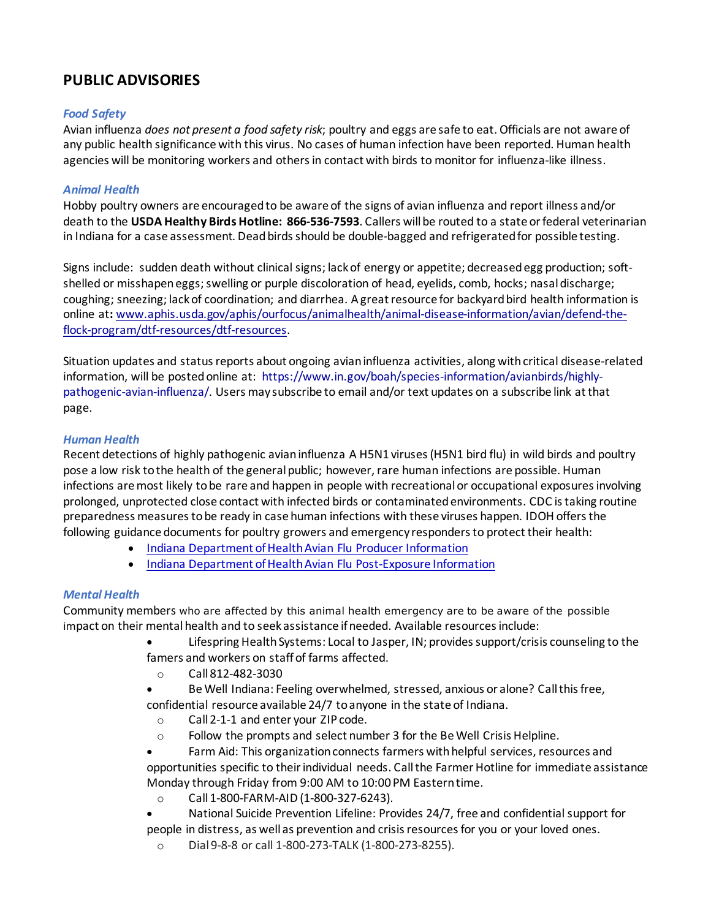# **PUBLIC ADVISORIES**

#### *Food Safety*

Avian influenza *does not present a food safety risk*; poultry and eggs are safe to eat. Officials are not aware of any public health significance with this virus. No cases of human infection have been reported. Human health agencies will be monitoring workers and others in contact with birds to monitor for influenza-like illness.

#### *Animal Health*

Hobby poultry owners are encouraged to be aware of the signs of avian influenza and report illness and/or death to the **USDA Healthy Birds Hotline: 866-536-7593**. Callers will be routed to a state or federal veterinarian in Indiana for a case assessment. Dead birds should be double-bagged and refrigerated for possible testing.

Signs include:  sudden death without clinical signs; lack of energy or appetite; decreased egg production; softshelled or misshapen eggs; swelling or purple discoloration of head, eyelids, comb, hocks; nasaldischarge; coughing; sneezing; lack of coordination; and diarrhea. A great resource for backyard bird health information is online at**:** [www.aphis.usda.gov/aphis/ourfocus/animalhealth/animal](http://www.aphis.usda.gov/aphis/ourfocus/animalhealth/animal-disease-information/avian/defend-the-flock-program/dtf-resources/dtf-resources)-disease-information/avian/defend-theflock-program/dtf-[resources/dtf](http://www.aphis.usda.gov/aphis/ourfocus/animalhealth/animal-disease-information/avian/defend-the-flock-program/dtf-resources/dtf-resources)-resources.

Situation updates and status reports about ongoing avian influenza activities, along with critical disease-related information, will be posted online at:  [https://www.in.gov/boah/species](https://www.in.gov/boah/species-information/avianbirds/highly-pathogenic-avian-influenza/)-information/avianbirds/highly[pathogenic](https://www.in.gov/boah/species-information/avianbirds/highly-pathogenic-avian-influenza/)-avian-influenza/. Users may subscribe to email and/or text updates on a subscribe link at that page.

#### *Human Health*

Recent detections of highly pathogenic avian influenza A H5N1 viruses (H5N1 bird flu) in wild birds and poultry pose a low risk to the health of the general public; however, rare human infections are possible. Human infections are most likely to be rare and happen in people with recreational or occupational exposures involving prolonged, unprotected close contact with infected birds or contaminated environments. CDC is taking routine preparedness measures to be ready in case human infections with these viruses happen. IDOH offers the following guidance documents for poultry growers and emergency responders to protect their health:

- [Indiana Department of Health Avian](https://www.in.gov/boah/files/2022-02-18_HPAI_Producer-packet.pdf) Flu Producer Information
- [Indiana Department of Health Avian Flu Post](https://www.in.gov/boah/files/2022-02-18_HPAI_Producer-packet.pdf)-Exposure Information

#### *Mental Health*

Community members who are affected by this animal health emergency are to be aware of the possible impact on their mental health and to seek assistance if needed. Available resources include:

- Lifespring Health Systems: Local to Jasper, IN; provides support/crisis counseling to the famers and workers on staff of farms affected.
	- o Call 812-482-3030
- Be Well Indiana: Feeling overwhelmed, stressed, anxious or alone? Call this free, confidential resource available 24/7 to anyone in the state of Indiana.
- o Call 2-1-1 and enter your ZIP code.
- o Follow the prompts and select number 3 for the Be Well Crisis Helpline.
- Farm Aid: This organization connects farmers with helpful services, resources and opportunities specific to their individual needs. Call the Farmer Hotline for immediate assistance Monday through Friday from 9:00 AM to 10:00 PM Eastern time.
- o Call 1-800-FARM-AID (1-800-327-6243).
- National Suicide Prevention Lifeline: Provides 24/7, free and confidential support for people in distress, as well as prevention and crisis resources for you or your loved ones.
- o Dial 9-8-8 or call 1-800-273-TALK (1-800-273-8255).